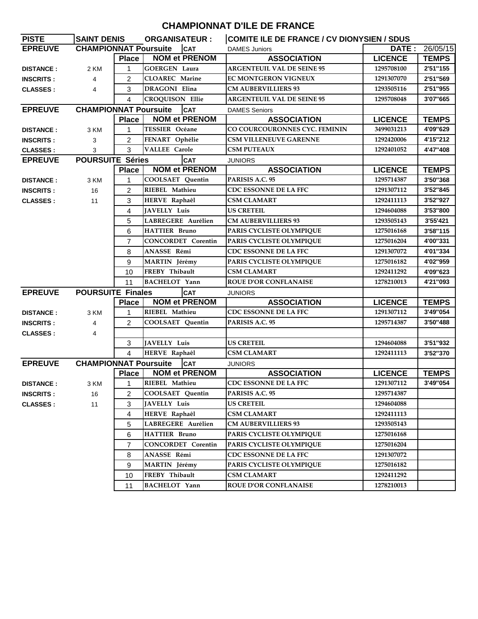## **CHAMPIONNAT D'ILE DE FRANCE**

| <b>PISTE</b>     | <b>SAINT DENIS</b>           |                | <b>ORGANISATEUR:</b>             | COMITE ILE DE FRANCE / CV DIONYSIEN / SDUS |                |              |
|------------------|------------------------------|----------------|----------------------------------|--------------------------------------------|----------------|--------------|
| <b>EPREUVE</b>   | <b>CHAMPIONNAT Poursuite</b> |                | <b>CAT</b>                       | <b>DAMES Juniors</b>                       | DATE:          | 26/05/15     |
|                  |                              | Place          | <b>NOM et PRENOM</b>             | <b>ASSOCIATION</b>                         | <b>LICENCE</b> | <b>TEMPS</b> |
| <b>DISTANCE:</b> | 2 KM                         | 1              | <b>GOERGEN Laura</b>             | <b>ARGENTEUIL VAL DE SEINE 95</b>          | 1295708100     | 2'51"155     |
| <b>INSCRITS:</b> | $\overline{4}$               | 2              | <b>CLOAREC</b> Marine            | EC MONTGERON VIGNEUX                       | 1291307070     | 2'51"569     |
| <b>CLASSES:</b>  | 4                            | 3              | DRAGONI Elina                    | <b>CM AUBERVILLIERS 93</b>                 | 1293505116     | 2'51"955     |
|                  |                              | 4              | <b>CROQUISON Ellie</b>           | <b>ARGENTEUIL VAL DE SEINE 95</b>          | 1295708048     | 3'07"665     |
| <b>EPREUVE</b>   | <b>CHAMPIONNAT Poursuite</b> |                | <b>CAT</b>                       | <b>DAMES Seniors</b>                       |                |              |
|                  |                              | <b>Place</b>   | <b>NOM et PRENOM</b>             | <b>ASSOCIATION</b>                         | <b>LICENCE</b> | <b>TEMPS</b> |
| <b>DISTANCE:</b> | 3 KM                         | 1              | <b>TESSIER Océane</b>            | CO COURCOURONNES CYC. FEMININ              | 3499031213     | 4'09"629     |
| <b>INSCRITS:</b> | 3                            | $\overline{2}$ | FENART Ophélie                   | <b>CSM VILLENEUVE GARENNE</b>              | 1292420006     | 4'15"212     |
| <b>CLASSES:</b>  | 3                            | 3              | <b>VALLEE Carole</b>             | <b>CSM PUTEAUX</b>                         | 1292401052     | 4'47"408     |
| <b>EPREUVE</b>   | <b>POURSUITE Séries</b>      |                | <b>CAT</b>                       | <b>JUNIORS</b>                             |                |              |
|                  |                              | <b>Place</b>   | <b>NOM et PRENOM</b>             | <b>ASSOCIATION</b>                         | <b>LICENCE</b> | <b>TEMPS</b> |
| <b>DISTANCE:</b> | 3 KM                         | 1              | <b>COOLSAET</b> Quentin          | PARISIS A.C. 95                            | 1295714387     | 3'50"368     |
| <b>INSCRITS:</b> | 16                           | $\overline{2}$ | RIEBEL Mathieu                   | CDC ESSONNE DE LA FFC                      | 1291307112     | 3'52"845     |
| <b>CLASSES:</b>  | 11                           | 3              | HERVE Raphaêl                    | <b>CSM CLAMART</b>                         | 1292411113     | 3'52"927     |
|                  |                              |                | <b>JAVELLY Luis</b>              | <b>US CRETEIL</b>                          | 1294604088     | 3'53"800     |
|                  |                              | 5              | LABREGERE Aurélien               | <b>CM AUBERVILLIERS 93</b>                 | 1293505143     | 3'55'421     |
|                  |                              | 6              | <b>HATTIER Bruno</b>             | PARIS CYCLISTE OLYMPIQUE                   | 1275016168     | 3'58"115     |
|                  |                              | 7              | <b>CONCORDET Corentin</b>        | PARIS CYCLISTE OLYMPIQUE                   | 1275016204     | 4'00"331     |
|                  |                              | 8              | ANASSE Rémi                      | CDC ESSONNE DE LA FFC                      | 1291307072     | 4'01"334     |
|                  |                              | 9              | MARTIN Jérémy                    | PARIS CYCLISTE OLYMPIQUE                   | 1275016182     | 4'02"959     |
|                  | 10<br>11                     |                | FREBY Thibault                   | <b>CSM CLAMART</b>                         | 1292411292     | 4'09"623     |
|                  |                              |                | <b>BACHELOT</b> Yann             | <b>ROUE D'OR CONFLANAISE</b>               | 1278210013     | 4'21"093     |
| <b>EPREUVE</b>   | <b>POURSUITE Finales</b>     |                | <b>CAT</b>                       | <b>JUNIORS</b>                             |                |              |
|                  |                              | <b>Place</b>   | <b>NOM et PRENOM</b>             | <b>ASSOCIATION</b>                         | <b>LICENCE</b> | <b>TEMPS</b> |
| <b>DISTANCE:</b> | 3 KM                         | 1              | RIEBEL Mathieu                   | CDC ESSONNE DE LA FFC                      | 1291307112     | 3'49"054     |
| <b>INSCRITS:</b> | 4                            | 2              | <b>COOLSAET</b> Quentin          | PARISIS A.C. 95                            | 1295714387     | 3'50"488     |
| <b>CLASSES:</b>  | 4                            |                |                                  |                                            |                |              |
|                  |                              | 3              | JAVELLY Luis                     | <b>US CRETEIL</b>                          | 1294604088     | 3'51"932     |
|                  |                              | 4              | HERVE Raphaêl                    | CSM CLAMART                                | 1292411113     | 3'52"370     |
| <b>EPREUVE</b>   |                              |                | <b>CHAMPIONNAT Poursuite</b> CAT | <b>JUNIORS</b>                             |                |              |
|                  |                              | Place          | <b>NOM et PRENOM</b>             | <b>ASSOCIATION</b>                         | <b>LICENCE</b> | <b>TEMPS</b> |
| <b>DISTANCE:</b> | 3 KM                         | $1 \quad$      | RIEBEL Mathieu                   | CDC ESSONNE DE LA FFC                      | 1291307112     | 3'49"054     |
| <b>INSCRITS:</b> | 16                           | 2              | COOLSAET Quentin                 | PARISIS A.C. 95                            | 1295714387     |              |
| <b>CLASSES:</b>  | 11                           | 3              | JAVELLY Luis                     | <b>US CRETEIL</b>                          | 1294604088     |              |
|                  |                              | 4              | HERVE Raphaêl                    | <b>CSM CLAMART</b>                         | 1292411113     |              |
|                  |                              | 5              | LABREGERE Aurélien               | <b>CM AUBERVILLIERS 93</b>                 | 1293505143     |              |
|                  |                              | 6              | <b>HATTIER Bruno</b>             | PARIS CYCLISTE OLYMPIQUE                   | 1275016168     |              |
|                  |                              | 7              | <b>CONCORDET</b> Corentin        | PARIS CYCLISTE OLYMPIQUE                   | 1275016204     |              |
|                  |                              | 8              | ANASSE Rémi                      | CDC ESSONNE DE LA FFC                      | 1291307072     |              |
|                  |                              | 9              | MARTIN Jérémy                    | PARIS CYCLISTE OLYMPIQUE                   | 1275016182     |              |
|                  |                              | 10             | FREBY Thibault                   | <b>CSM CLAMART</b>                         | 1292411292     |              |
|                  |                              | 11             | <b>BACHELOT</b> Yann             | <b>ROUE D'OR CONFLANAISE</b>               | 1278210013     |              |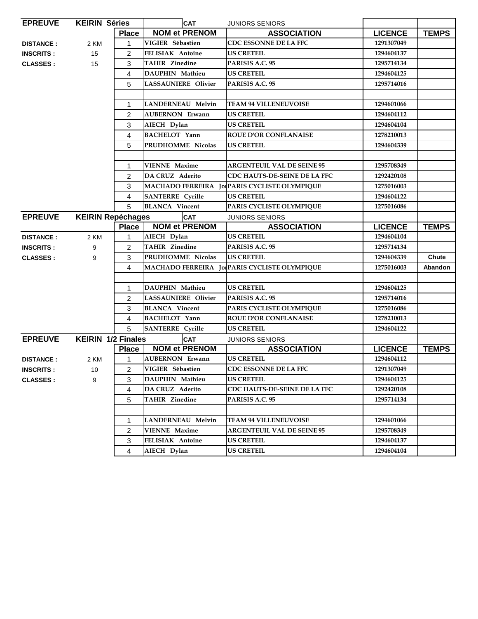| <b>EPREUVE</b>   | <b>KEIRIN Séries</b>      |                | <b>CAT</b>                 | <b>JUNIORS SENIORS</b>                       |                |              |
|------------------|---------------------------|----------------|----------------------------|----------------------------------------------|----------------|--------------|
|                  |                           | <b>Place</b>   | <b>NOM et PRENOM</b>       | <b>ASSOCIATION</b>                           | <b>LICENCE</b> | <b>TEMPS</b> |
| <b>DISTANCE:</b> | 2 KM                      | 1              | VIGIER Sébastien           | CDC ESSONNE DE LA FFC                        | 1291307049     |              |
| <b>INSCRITS:</b> | 15                        | 2              | <b>FELISIAK Antoine</b>    | <b>US CRETEIL</b>                            | 1294604137     |              |
| <b>CLASSES:</b>  | 15                        | 3              | <b>TAHIR Zinedine</b>      | PARISIS A.C. 95                              | 1295714134     |              |
|                  |                           | 4              | <b>DAUPHIN Mathieu</b>     | <b>US CRETEIL</b>                            | 1294604125     |              |
|                  |                           | 5              | <b>LASSAUNIERE Olivier</b> | PARISIS A.C. 95                              | 1295714016     |              |
|                  |                           |                |                            |                                              |                |              |
|                  |                           | 1              | <b>LANDERNEAU Melvin</b>   | <b>TEAM 94 VILLENEUVOISE</b>                 | 1294601066     |              |
|                  |                           | 2              | <b>AUBERNON Erwann</b>     | <b>US CRETEIL</b>                            | 1294604112     |              |
|                  |                           | 3              | AIECH Dylan                | <b>US CRETEIL</b>                            | 1294604104     |              |
|                  |                           | 4              | <b>BACHELOT Yann</b>       | <b>ROUE D'OR CONFLANAISE</b>                 | 1278210013     |              |
|                  |                           | 5              | PRUDHOMME Nicolas          | <b>US CRETEIL</b>                            | 1294604339     |              |
|                  |                           |                |                            |                                              |                |              |
|                  |                           | 1              | <b>VIENNE Maxime</b>       | <b>ARGENTEUIL VAL DE SEINE 95</b>            | 1295708349     |              |
|                  |                           | 2              | <b>DA CRUZ</b> Aderito     | CDC HAUTS-DE-SEINE DE LA FFC                 | 1292420108     |              |
|                  |                           | 3              |                            | MACHADO FERREIRA Jo PARIS CYCLISTE OLYMPIQUE | 1275016003     |              |
|                  |                           | 4              | <b>SANTERRE</b> Cyrille    | <b>US CRETEIL</b>                            | 1294604122     |              |
|                  |                           | 5              | <b>BLANCA</b> Vincent      | PARIS CYCLISTE OLYMPIQUE                     | 1275016086     |              |
| <b>EPREUVE</b>   | <b>KEIRIN Repéchages</b>  |                | <b>CAT</b>                 | <b>JUNIORS SENIORS</b>                       |                |              |
|                  |                           | <b>Place</b>   | <b>NOM et PRENOM</b>       | <b>ASSOCIATION</b>                           | <b>LICENCE</b> | <b>TEMPS</b> |
| <b>DISTANCE:</b> | 2 KM                      | 1              | AIECH Dylan                | <b>US CRETEIL</b>                            | 1294604104     |              |
| <b>INSCRITS:</b> | 9                         | $\overline{c}$ | <b>TAHIR Zinedine</b>      | PARISIS A.C. 95                              | 1295714134     |              |
| <b>CLASSES:</b>  | 9                         | 3              | PRUDHOMME Nicolas          | <b>US CRETEIL</b>                            | 1294604339     | Chute        |
|                  |                           | 4              |                            | MACHADO FERREIRA Jo PARIS CYCLISTE OLYMPIQUE | 1275016003     | Abandon      |
|                  |                           |                |                            |                                              |                |              |
|                  |                           | 1              | DAUPHIN Mathieu            | <b>US CRETEIL</b>                            | 1294604125     |              |
|                  |                           | 2              | <b>LASSAUNIERE Olivier</b> | PARISIS A.C. 95                              | 1295714016     |              |
|                  |                           | 3              | <b>BLANCA</b> Vincent      | PARIS CYCLISTE OLYMPIQUE                     | 1275016086     |              |
|                  |                           | 4              | <b>BACHELOT</b> Yann       | <b>ROUE D'OR CONFLANAISE</b>                 | 1278210013     |              |
|                  |                           | 5              | <b>SANTERRE</b> Cyrille    | <b>US CRETEIL</b>                            | 1294604122     |              |
| <b>EPREUVE</b>   | <b>KEIRIN 1/2 Finales</b> |                | <b>CAT</b>                 | <b>JUNIORS SENIORS</b>                       |                |              |
|                  |                           | <b>Place</b>   | <b>NOM et PRENOM</b>       | <b>ASSOCIATION</b>                           | <b>LICENCE</b> | <b>TEMPS</b> |
| <b>DISTANCE:</b> | 2 KM                      | 1              | <b>AUBERNON Erwann</b>     | <b>US CRETEIL</b>                            | 1294604112     |              |
| <b>INSCRITS:</b> | 10                        | $2^{\circ}$    | VIGIER Sébastien           | CDC ESSONNE DE LA FFC                        | 1291307049     |              |
| <b>CLASSES:</b>  | 3<br>9                    |                | DAUPHIN Mathieu            | <b>US CRETEIL</b>                            | 1294604125     |              |
|                  |                           | 4              | DA CRUZ Aderito            | CDC HAUTS-DE-SEINE DE LA FFC                 | 1292420108     |              |
|                  |                           | 5              | <b>TAHIR Zinedine</b>      | PARISIS A.C. 95                              | 1295714134     |              |
|                  |                           |                |                            |                                              |                |              |
|                  |                           | 1              | <b>LANDERNEAU Melvin</b>   | <b>TEAM 94 VILLENEUVOISE</b>                 | 1294601066     |              |
|                  |                           | 2              | <b>VIENNE Maxime</b>       | <b>ARGENTEUIL VAL DE SEINE 95</b>            | 1295708349     |              |
|                  |                           | 3              | FELISIAK Antoine           | <b>US CRETEIL</b>                            | 1294604137     |              |
|                  |                           | 4              | AIECH Dylan                | <b>US CRETEIL</b>                            | 1294604104     |              |